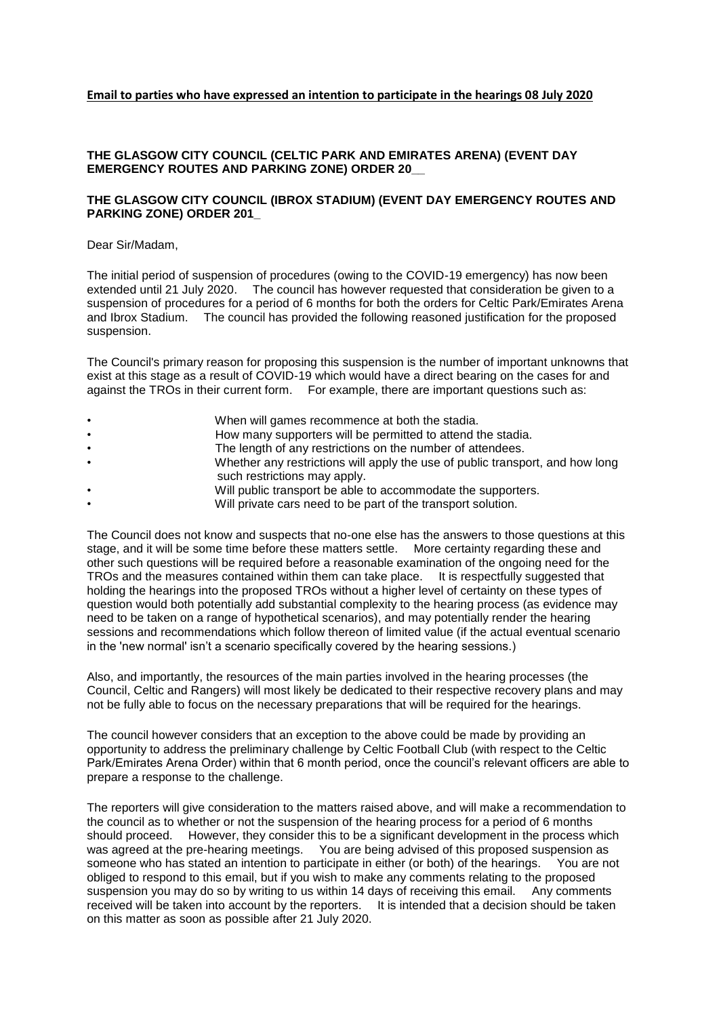## **THE GLASGOW CITY COUNCIL (CELTIC PARK AND EMIRATES ARENA) (EVENT DAY EMERGENCY ROUTES AND PARKING ZONE) ORDER 20\_\_**

## **THE GLASGOW CITY COUNCIL (IBROX STADIUM) (EVENT DAY EMERGENCY ROUTES AND PARKING ZONE) ORDER 201\_**

Dear Sir/Madam,

The initial period of suspension of procedures (owing to the COVID-19 emergency) has now been extended until 21 July 2020. The council has however requested that consideration be given to a suspension of procedures for a period of 6 months for both the orders for Celtic Park/Emirates Arena and Ibrox Stadium. The council has provided the following reasoned justification for the proposed suspension.

The Council's primary reason for proposing this suspension is the number of important unknowns that exist at this stage as a result of COVID-19 which would have a direct bearing on the cases for and against the TROs in their current form. For example, there are important questions such as:

- When will games recommence at both the stadia.
- How many supporters will be permitted to attend the stadia.
- The length of any restrictions on the number of attendees.
- Whether any restrictions will apply the use of public transport, and how long such restrictions may apply.
- Will public transport be able to accommodate the supporters.
- Will private cars need to be part of the transport solution.

The Council does not know and suspects that no-one else has the answers to those questions at this stage, and it will be some time before these matters settle. More certainty regarding these and other such questions will be required before a reasonable examination of the ongoing need for the TROs and the measures contained within them can take place. It is respectfully suggested that holding the hearings into the proposed TROs without a higher level of certainty on these types of question would both potentially add substantial complexity to the hearing process (as evidence may need to be taken on a range of hypothetical scenarios), and may potentially render the hearing sessions and recommendations which follow thereon of limited value (if the actual eventual scenario in the 'new normal' isn't a scenario specifically covered by the hearing sessions.)

Also, and importantly, the resources of the main parties involved in the hearing processes (the Council, Celtic and Rangers) will most likely be dedicated to their respective recovery plans and may not be fully able to focus on the necessary preparations that will be required for the hearings.

The council however considers that an exception to the above could be made by providing an opportunity to address the preliminary challenge by Celtic Football Club (with respect to the Celtic Park/Emirates Arena Order) within that 6 month period, once the council's relevant officers are able to prepare a response to the challenge.

The reporters will give consideration to the matters raised above, and will make a recommendation to the council as to whether or not the suspension of the hearing process for a period of 6 months should proceed. However, they consider this to be a significant development in the process which was agreed at the pre-hearing meetings. You are being advised of this proposed suspension as someone who has stated an intention to participate in either (or both) of the hearings. You are not obliged to respond to this email, but if you wish to make any comments relating to the proposed suspension you may do so by writing to us within 14 days of receiving this email. Any comments received will be taken into account by the reporters. It is intended that a decision should be taken on this matter as soon as possible after 21 July 2020.